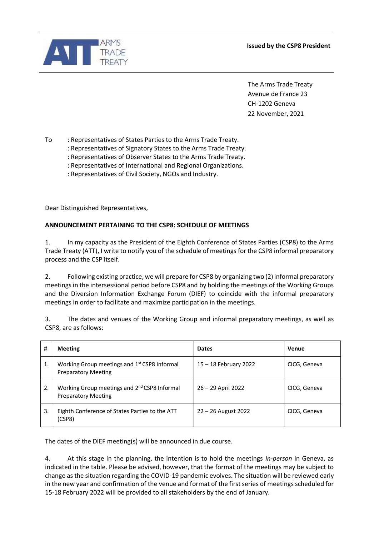



The Arms Trade Treaty Avenue de France 23 CH-1202 Geneva 22 November, 2021

To : Representatives of States Parties to the Arms Trade Treaty.

- : Representatives of Signatory States to the Arms Trade Treaty.
- : Representatives of Observer States to the Arms Trade Treaty.
- : Representatives of International and Regional Organizations.
- : Representatives of Civil Society, NGOs and Industry.

Dear Distinguished Representatives,

## **ANNOUNCEMENT PERTAINING TO THE CSP8: SCHEDULE OF MEETINGS**

1. In my capacity as the President of the Eighth Conference of States Parties (CSP8) to the Arms Trade Treaty (ATT), I write to notify you of the schedule of meetings for the CSP8 informal preparatory process and the CSP itself.

2. Following existing practice, we will prepare for CSP8 by organizing two (2) informal preparatory meetings in the intersessional period before CSP8 and by holding the meetings of the Working Groups and the Diversion Information Exchange Forum (DIEF) to coincide with the informal preparatory meetings in order to facilitate and maximize participation in the meetings.

3. The dates and venues of the Working Group and informal preparatory meetings, as well as CSP8, are as follows:

| #  | <b>Meeting</b>                                                                         | <b>Dates</b>          | Venue        |
|----|----------------------------------------------------------------------------------------|-----------------------|--------------|
| 1. | Working Group meetings and 1 <sup>st</sup> CSP8 Informal<br><b>Preparatory Meeting</b> | 15 – 18 February 2022 | CICG, Geneva |
| 2. | Working Group meetings and 2 <sup>nd</sup> CSP8 Informal<br><b>Preparatory Meeting</b> | 26 - 29 April 2022    | CICG, Geneva |
| 3. | Eighth Conference of States Parties to the ATT<br>(CSP8)                               | $22 - 26$ August 2022 | CICG, Geneva |

The dates of the DIEF meeting(s) will be announced in due course.

4. At this stage in the planning, the intention is to hold the meetings *in-person* in Geneva, as indicated in the table. Please be advised, however, that the format of the meetings may be subject to change as the situation regarding the COVID-19 pandemic evolves. The situation will be reviewed early in the new year and confirmation of the venue and format of the first series of meetings scheduled for 15-18 February 2022 will be provided to all stakeholders by the end of January.